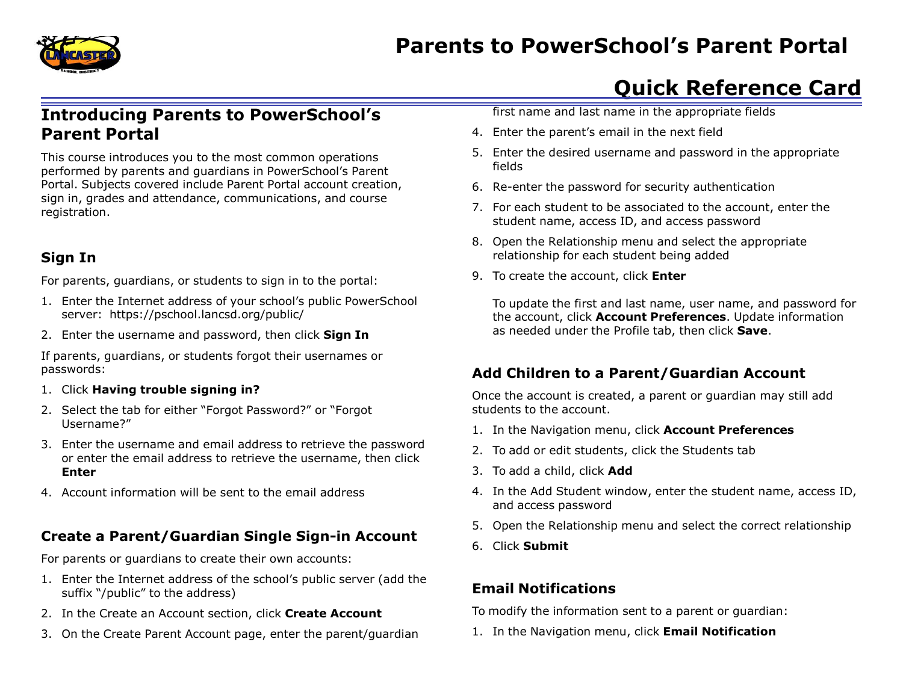

# **Parents to PowerSchool's Parent Portal**

# **Quick Reference Card**

# **Introducing Parents to PowerSchool's Parent Portal**

This course introduces you to the most common operations performed by parents and guardians in PowerSchool's Parent Portal. Subjects covered include Parent Portal account creation, sign in, grades and attendance, communications, and course registration.

#### **Sign In**

For parents, guardians, or students to sign in to the portal:

- 1. Enter the Internet address of your school's public PowerSchool server: https://pschool.lancsd.org/public/
- 2. Enter the username and password, then click **Sign In**

If parents, guardians, or students forgot their usernames or passwords:

- 1. Click **Having trouble signing in?**
- 2. Select the tab for either "Forgot Password?" or "Forgot Username?"
- 3. Enter the username and email address to retrieve the password or enter the email address to retrieve the username, then click **Enter**
- 4. Account information will be sent to the email address

#### **Create a Parent/Guardian Single Sign-in Account**

For parents or guardians to create their own accounts:

- 1. Enter the Internet address of the school's public server (add the suffix "/public" to the address)
- 2. In the Create an Account section, click **Create Account**
- 3. On the Create Parent Account page, enter the parent/guardian

first name and last name in the appropriate fields

- 4. Enter the parent's email in the next field
- 5. Enter the desired username and password in the appropriate fields
- 6. Re-enter the password for security authentication
- 7. For each student to be associated to the account, enter the student name, access ID, and access password
- 8. Open the Relationship menu and select the appropriate relationship for each student being added
- 9. To create the account, click **Enter**

To update the first and last name, user name, and password for the account, click **Account Preferences**. Update information as needed under the Profile tab, then click **Save**.

#### **Add Children to a Parent/Guardian Account**

Once the account is created, a parent or guardian may still add students to the account.

- 1. In the Navigation menu, click **Account Preferences**
- 2. To add or edit students, click the Students tab
- 3. To add a child, click **Add**
- 4. In the Add Student window, enter the student name, access ID, and access password
- 5. Open the Relationship menu and select the correct relationship
- 6. Click **Submit**

## **Email Notifications**

To modify the information sent to a parent or guardian:

1. In the Navigation menu, click **Email Notification**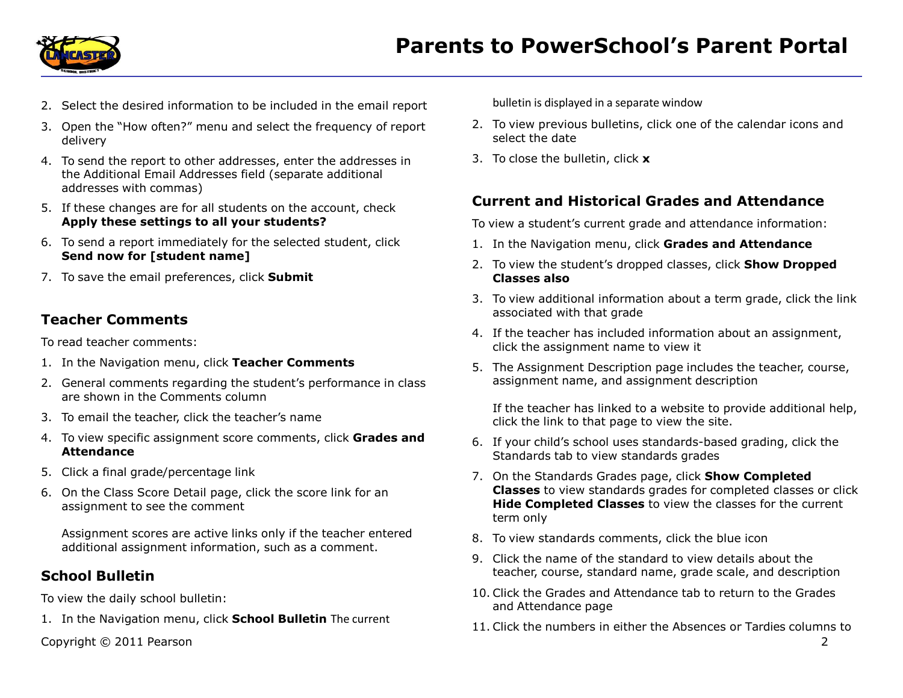

- 2. Select the desired information to be included in the email report
- 3. Open the "How often?" menu and select the frequency of report delivery
- 4. To send the report to other addresses, enter the addresses in the Additional Email Addresses field (separate additional addresses with commas)
- 5. If these changes are for all students on the account, check **Apply these settings to all your students?**
- 6. To send a report immediately for the selected student, click **Send now for [student name]**
- 7. To save the email preferences, click **Submit**

#### **Teacher Comments**

To read teacher comments:

- 1. In the Navigation menu, click **Teacher Comments**
- 2. General comments regarding the student's performance in class are shown in the Comments column
- 3. To email the teacher, click the teacher's name
- 4. To view specific assignment score comments, click **Grades and Attendance**
- 5. Click a final grade/percentage link
- 6. On the Class Score Detail page, click the score link for an assignment to see the comment

Assignment scores are active links only if the teacher entered additional assignment information, such as a comment.

#### **School Bulletin**

To view the daily school bulletin:

1. In the Navigation menu, click **School Bulletin** The current

Copyright © 2011 Pearson 2

bulletin is displayed in a separate window

- 2. To view previous bulletins, click one of the calendar icons and select the date
- 3. To close the bulletin, click **x**

## **Current and Historical Grades and Attendance**

To view a student's current grade and attendance information:

- 1. In the Navigation menu, click **Grades and Attendance**
- 2. To view the student's dropped classes, click **Show Dropped Classes also**
- 3. To view additional information about a term grade, click the link associated with that grade
- 4. If the teacher has included information about an assignment, click the assignment name to view it
- 5. The Assignment Description page includes the teacher, course, assignment name, and assignment description

If the teacher has linked to a website to provide additional help, click the link to that page to view the site.

- 6. If your child's school uses standards-based grading, click the Standards tab to view standards grades
- 7. On the Standards Grades page, click **Show Completed Classes** to view standards grades for completed classes or click **Hide Completed Classes** to view the classes for the current term only
- 8. To view standards comments, click the blue icon
- 9. Click the name of the standard to view details about the teacher, course, standard name, grade scale, and description
- 10. Click the Grades and Attendance tab to return to the Grades and Attendance page
- 11. Click the numbers in either the Absences or Tardies columns to